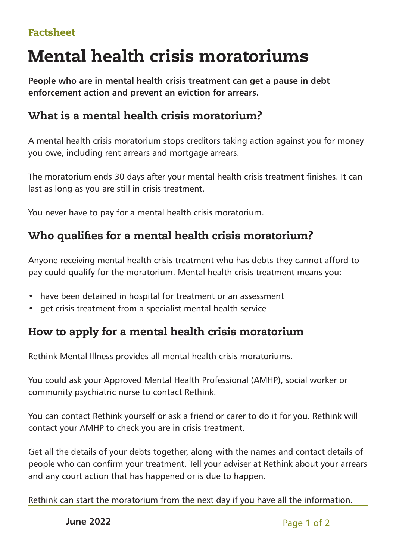#### Factsheet

# Mental health crisis moratoriums

**People who are in mental health crisis treatment can get a pause in debt enforcement action and prevent an eviction for arrears.**

# What is a mental health crisis moratorium?

A mental health crisis moratorium stops creditors taking action against you for money you owe, including rent arrears and mortgage arrears.

The moratorium ends 30 days after your mental health crisis treatment finishes. It can last as long as you are still in crisis treatment.

You never have to pay for a mental health crisis moratorium.

# Who qualifies for a mental health crisis moratorium?

Anyone receiving mental health crisis treatment who has debts they cannot afford to pay could qualify for the moratorium. Mental health crisis treatment means you:

- have been detained in hospital for treatment or an assessment
- get crisis treatment from a specialist mental health service

# How to apply for a mental health crisis moratorium

Rethink Mental Illness provides all mental health crisis moratoriums.

You could ask your Approved Mental Health Professional (AMHP), social worker or community psychiatric nurse to contact Rethink.

You can contact Rethink yourself or ask a friend or carer to do it for you. Rethink will contact your AMHP to check you are in crisis treatment.

Get all the details of your debts together, along with the names and contact details of people who can confirm your treatment. Tell your adviser at Rethink about your arrears and any court action that has happened or is due to happen.

Rethink can start the moratorium from the next day if you have all the information.